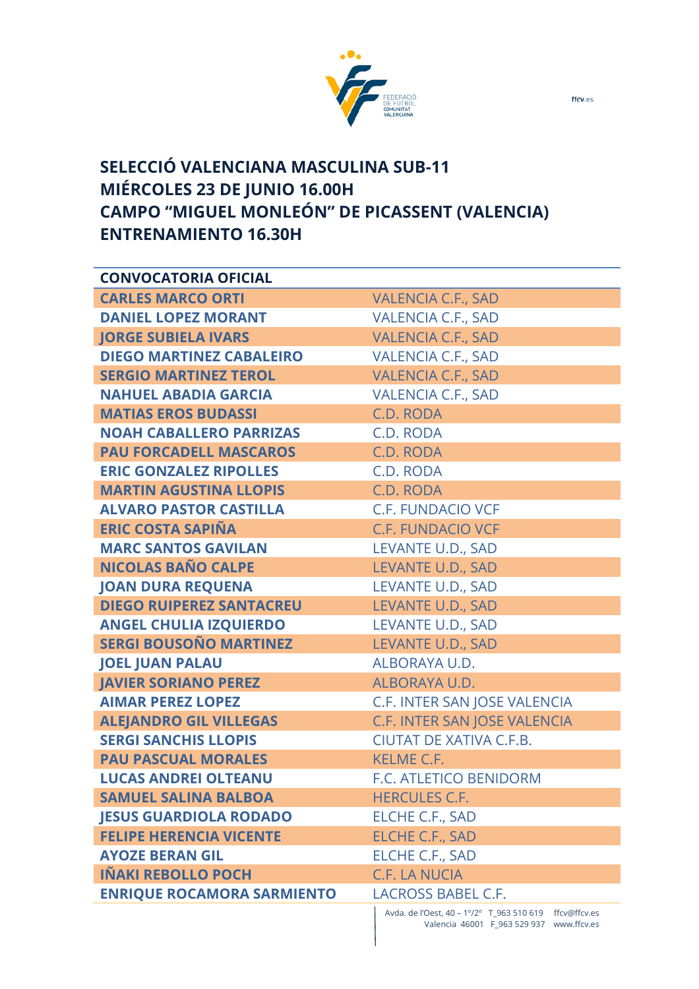

## **SELECCIÓ VALENCIANA MASCULINA SUB-11 MIÉRCOLES 23 DE JUNIO 16.00H CAMPO "MIGUEL MONLEÓN" DE PICASSENT (VALENCIA) ENTRENAMIENTO 16.30H**

| <b>CONVOCATORIA OFICIAL</b>       |                                                        |
|-----------------------------------|--------------------------------------------------------|
| <b>CARLES MARCO ORTI</b>          | <b>VALENCIA C.F., SAD</b>                              |
| <b>DANIEL LOPEZ MORANT</b>        | <b>VALENCIA C.F., SAD</b>                              |
| <b>JORGE SUBIELA IVARS</b>        | <b>VALENCIA C.F., SAD</b>                              |
| <b>DIEGO MARTINEZ CABALEIRO</b>   | <b>VALENCIA C.F., SAD</b>                              |
| <b>SERGIO MARTINEZ TEROL</b>      | <b>VALENCIA C.F., SAD</b>                              |
| <b>NAHUEL ABADIA GARCIA</b>       | <b>VALENCIA C.F., SAD</b>                              |
| <b>MATIAS EROS BUDASSI</b>        | C.D. RODA                                              |
| <b>NOAH CABALLERO PARRIZAS</b>    | C.D. RODA                                              |
| <b>PAU FORCADELL MASCAROS</b>     | C.D. RODA                                              |
| <b>ERIC GONZALEZ RIPOLLES</b>     | C.D. RODA                                              |
| <b>MARTIN AGUSTINA LLOPIS</b>     | C.D. RODA                                              |
| <b>ALVARO PASTOR CASTILLA</b>     | <b>C.F. FUNDACIO VCF</b>                               |
| <b>ERIC COSTA SAPIÑA</b>          | <b>C.F. FUNDACIO VCF</b>                               |
| <b>MARC SANTOS GAVILAN</b>        | LEVANTE U.D., SAD                                      |
| <b>NICOLAS BAÑO CALPE</b>         | LEVANTE U.D., SAD                                      |
| <b>JOAN DURA REQUENA</b>          | LEVANTE U.D., SAD                                      |
| <b>DIEGO RUIPEREZ SANTACREU</b>   | LEVANTE U.D., SAD                                      |
| <b>ANGEL CHULIA IZQUIERDO</b>     | LEVANTE U.D., SAD                                      |
| <b>SERGI BOUSOÑO MARTINEZ</b>     | LEVANTE U.D., SAD                                      |
| <b>JOEL JUAN PALAU</b>            | ALBORAYA U.D.                                          |
| <b>JAVIER SORIANO PEREZ</b>       | ALBORAYA U.D.                                          |
| <b>AIMAR PEREZ LOPEZ</b>          | C.F. INTER SAN JOSE VALENCIA                           |
| <b>ALEJANDRO GIL VILLEGAS</b>     | C.F. INTER SAN JOSE VALENCIA                           |
| <b>SERGI SANCHIS LLOPIS</b>       | <b>CIUTAT DE XATIVA C.F.B.</b>                         |
| <b>PAU PASCUAL MORALES</b>        | <b>KELME C.F.</b>                                      |
| <b>LUCAS ANDREI OLTEANU</b>       | F.C. ATLETICO BENIDORM                                 |
| <b>SAMUEL SALINA BALBOA</b>       | <b>HERCULES C.F.</b>                                   |
| <b>JESUS GUARDIOLA RODADO</b>     | ELCHE C.F., SAD                                        |
| <b>FELIPE HERENCIA VICENTE</b>    | <b>ELCHE C.F., SAD</b>                                 |
| <b>AYOZE BERAN GIL</b>            | ELCHE C.F., SAD                                        |
| <b>IÑAKI REBOLLO POCH</b>         | <b>C.F. LA NUCIA</b>                                   |
| <b>ENRIQUE ROCAMORA SARMIENTO</b> | LACROSS BABEL C.F.                                     |
|                                   | Avda. de l'Oest, 40 - 1°/2° T_963 510 619 ffcv@ffcv.es |

Valencia 46001 F\_963 529 937 www.ffcv.es

ffcv.es